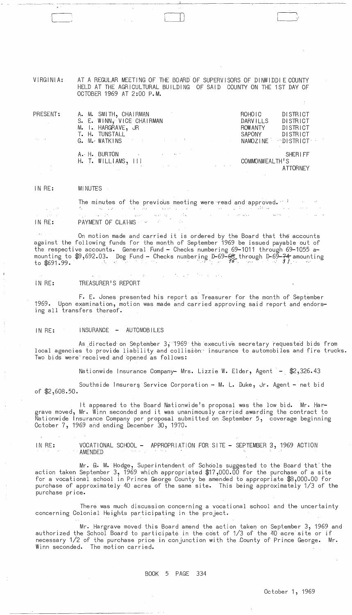VIRGINIA: AT A REGULAR MEETING OF THE BOARD' OF SUPERVISORS OF DINWIDDI E COUNTY HELD AT THE AGRICULTURAL BUILDING OF SAID COUNTY ON THE 1ST DAY OF OCTOBER 1969 AT 2:00 P.M.

I  $\vert \ \ \rangle$  $\bigcup$ 

| PRESENT:                        | A. M. SMITH, CHAIRMAN                                                                                                                                                                                                          | DISTRICT<br>ROHOIC                                       |
|---------------------------------|--------------------------------------------------------------------------------------------------------------------------------------------------------------------------------------------------------------------------------|----------------------------------------------------------|
|                                 | S. E. WINN, VICE CHAIRMAN                                                                                                                                                                                                      | <b>DARVILLS</b><br>DISTRICT                              |
|                                 | M. I. HARGRAVE, JR                                                                                                                                                                                                             | DISTRICT<br><b>ROWANTY</b>                               |
| $\mathbb{Z}_2$ . $\mathbb{Z}_2$ | T. H. TUNSTALL                                                                                                                                                                                                                 | SAPONY<br>DISTRICT                                       |
|                                 | G. M. WATKINS THE RESERVE THE RESERVE THE RESERVE THE RESERVE THE RESERVE THE RESERVE THAT IS NOT THE RESERVE THAT IS NOT THE RESERVE THAT THE RESERVE THAT IS NOT THE RESERVE THAT IS NOT THE RESERVE THAT IS NOT THE RESERVE | NAMOZINE DISTRICT                                        |
|                                 | A. H. BURTON And the state of the state of the state of the state of the state of the state of the state of the                                                                                                                | <b>SHERLFF</b>                                           |
|                                 | $H.$ T. WILLIAMS, $111$                                                                                                                                                                                                        | COMMONWEALTH'S                                           |
|                                 | <b>Contract Contract</b>                                                                                                                                                                                                       | and the control of the control of the<br><b>ATTORNEY</b> |

## IN RE: MINUTES **MINUTES**

 $\lfloor$ 

The minutes of the previous meeting were read and approved.  $\cdot$ PAYMENT OF CLATING THE REPORT OF CLARING THE REPORT OF CLARING THE REPORT OF CLARING THE REPORT OF CLARING THE REPORT OF CLARING THE REPORT OF CLARING THE REPORT OF CLARING THE REPORT OF CLARING THE REPORT OF CLARING THE R  $\sqrt{2\pi}$  ,  $\sqrt{2\pi}$ IN RE:

On motion made and carried it is ordered by the Board that the accounts against the following funds for the month of September 1969 be issued payable out of the respective accounts. General Fund - Checks numbering 69-1011 through 69-1055 amounting to \$9,692.03. Dog Fund - Checks numbering D-69-<del>68</del> through D-69-74 amounting<br>to \$691.99. **\*** 

IN RE: TREASURER'S REPORT

F. E. Jones presented his report as Treasurer for the month of September 1969. Upon examination, motion was made and carried approving said report and endorsing all transfers thereof.

IN RE: INSURANCE - AUTOMOBILES

As directed' on September 3, '1969 the executive secretary requested bids from local agencies to provide liability and collision insurance to automobiles and fire trucks. Two bids were' received and 'opened as follows:

Nationwide Insurance Company- Mrs. Lizzie W. Elder, Agent - \$2,326.43

Southside Insurer§ Service Corporation - M. L. Duke, Jr. Agent - net bid of \$2,608.50.

It appeared to the Board Nationwide's proposal was the low bid. Mr. Hargrave moved, Mr. Winn seconded and it was unanimously carried awarding the contract to Nationwide Insurance Company per proposal submitted on September 5, coverage beginning October 7, 1969 and ending December 30, 1970.

IN RE: VOCATIONAL SCHOOL - APPROPRIATION FOR SITE - SEPTEMBER 3, 1969 ACTION AMENDED

Mr. G. M. Hodge, Superintendent of Schools suggested to the Board that the action taken September 3, 1969 which appropriated  $$17,000.00$  for the purchase of a site for a vocational school in Prince George County be amended to appropriate \$8,000.00 for purchase of approximately 40 acres of the same site. This being approximately 1/3 of the purchase price.

There was much discussion concerning a vocational school and the uncertainty concerning Colonial Heights participating in the project.

Mr. Hargrave moved this Board amend the action taken on September 3, 1969 and authorized the School Board to participate in the cost of 1/3 of the 40 acre site or if necessary 1/2 of the purchase price in conjunction with the -County of Prince George. Mr. Winn seconded. The motion carried.

BOOK 5 PAGE 334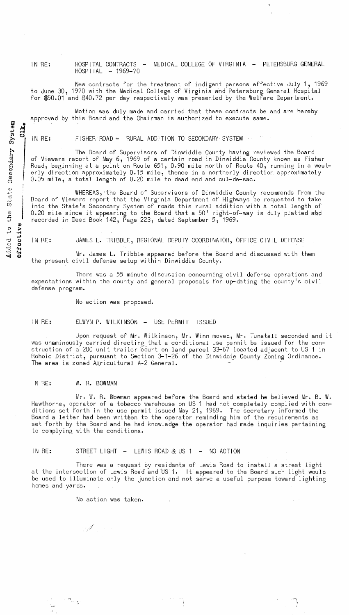IN RE: HOSPITAL CONTRACTS - MEDICAL COLLEGE OF VIRGINIA - PETERSBURG GENERAL HOSPITAL - 1969-70

New contracts for the treatment of indigent persons effective July 1, 1969 to June 30, 1970 with the Medical College of Virginia and Petersburg General Hospital for \$50.01 and \$40.72 per day respectively was presented by the Welfare Department.

Motion was duly made and carried that these contracts be and are hereby approved by this Board and the Chairman is authorized to execute same.

IN RE: FISHER ROAD - RURAL ADDITION TO SECONDARY SYSTEM .

The Board of Supervisors of Dinwiddie County having reviewed the Board of Viewers report of May 6, 1969 of a certain road in Dinwiddie County known as Fisher Road, beginnihg at a point on Route 651, 0.90 mile north of Route 40, running in a westerly direction approximately 0.15 mile, thence in a northerly direction approximately 0.05 mile, a total length of 0.20 mile to dead end and cul-de-sac.

WHEREAS, 'the Board of Supervisors of Dinwiddie County recommends from the Board of Viewers report that the Vi rginia Department of Highways be requested to take into the State's Secondary System of roads this rural addition with a total length of  $0.20$  mile since it appearing to the Board that a  $50'$  right-of-way is duly platted and recorded in Deed Book 142, Page 223, dated September 5, 1969.

IN RE: JAMES L. TRIBBLE, REGIONAL DEPUTY COORDINATOR, OFFICE CIVIL DEFENSE

Mr. James L. Tribble appeared before the Board and discussed with them the present civil defense setup within Dinwiddie County.

There was a 55 minute discussion concerning civil defense operations and expectations within the county and general proposals for up-dating the county's civil defense program.

No action was proposed.

IN RE: ELWYN P. WILKINSON - USE PERMIT ISSUED

Upon request of Mr. Wilkinson, Mr. Winn moved, Mr. Tunstall seconded and it was unaminously carried directing that a conditional use permit be issued for the construction of a 200 unit trailer court on land parcel 33-67 located adjacent to US 1 in Rohoic District, pursuant to Section 3-1-26 of the Dinwiddie County Zoning Ordinance. The area is zoned Agricultural A-2 General.

## IN RE: W. R. BOWMAN

 $\pm$ 

Mr. W. R. Blowman appeared before the Board and stated he believed Mr. B. W. Hawthorne, operator of a tobacco warehouse on US 1 had not completely complied with conditions set forth in the use permit issued May 21,1969. The secretary informed the Board a letter had been written to the operator reminding him of the requirements as set forth by the Board and he had knowledge the operator had made inquiries pertaining to complying with the conditions.

IN RE: STREET LIGHT  $-$  LEW IS ROAD & US 1  $-$  NO ACTION

There was a request by residents of Lewis Road to install a street light at the intersection of Lewis Road-and US 1. It appeared to the Board such light would be used to illuminate only the Junction and not Serve a useful purpose toward lighting homes and yards.

 $\label{eq:2.1} \begin{split} \mathcal{L}_{\text{max}}(\mathcal{F}^{(1)}_{\text{max}}) = \sum_{\mathbf{q} \in \mathcal{P}^{(1)}} \mathcal{L}_{\text{max}}(\mathbf{q}) \,, \end{split}$ 

 $\mathcal{L}(\mathcal{L}^{\mathcal{L}})$  , where  $\mathcal{L}^{\mathcal{L}}$ 

No action was taken.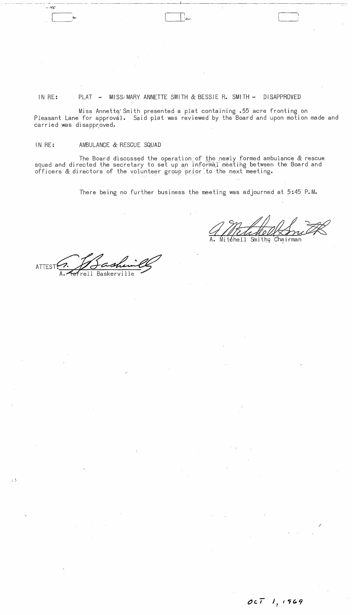## IN RE: PLAT - MISS/MARY ANNETTE SMITH & BESSIE R. SMITH - DISAPPROVED

Miss Annette Smith presented a plat containing .55 acre fronting on Pleasant Lane for approval. Said plat was reviewed by the Board and upon motion made and carried was disapproved.

## IN RE: AMBULANCE & RESCUE SQUAD

.~.

ంటుక్రవ

The Board discussed the operation of the newly formed ambulance & rescue squad and directed the secretary to set up an informal meeting between the Board and officers & directors of the volunteer group prior to the next meeting.

There being no further business the meeting was adjourned at 5:45 **P.M.** 

téhell Smithç Chairman

**ATTEST** rell Baskerville

 $\label{eq:2.1} \mathcal{L}(\mathcal{L}) = \mathcal{L}(\mathcal{L}) \mathcal{L}(\mathcal{L}) = \mathcal{L}(\mathcal{L}) \mathcal{L}(\mathcal{L})$ 

 $\label{eq:2.1} \frac{1}{\sqrt{2\pi}}\sum_{i=1}^n\frac{1}{\sqrt{2\pi}}\int_{\mathbb{R}^n}\frac{1}{\sqrt{2\pi}}\int_{\mathbb{R}^n}\frac{1}{\sqrt{2\pi}}\int_{\mathbb{R}^n}\frac{1}{\sqrt{2\pi}}\int_{\mathbb{R}^n}\frac{1}{\sqrt{2\pi}}\int_{\mathbb{R}^n}\frac{1}{\sqrt{2\pi}}\int_{\mathbb{R}^n}\frac{1}{\sqrt{2\pi}}\int_{\mathbb{R}^n}\frac{1}{\sqrt{2\pi}}\int_{\mathbb{R}^n}\frac{1}{\$ 

 $\mathcal{L}(\mathbf{X})$  .

 $\sim 5^{\circ}$ 

 $\mathcal{A}_{\mathcal{A}}$  ,  $\mathcal{A}_{\mathcal{A}}$ 

 $\label{eq:2} \frac{1}{\sqrt{2}}\sum_{i=1}^n\frac{1}{\sqrt{2\pi}}\sum_{i=1}^n\frac{1}{\sqrt{2\pi}}\sum_{i=1}^n\frac{1}{\sqrt{2\pi}}\sum_{i=1}^n\frac{1}{\sqrt{2\pi}}\sum_{i=1}^n\frac{1}{\sqrt{2\pi}}\sum_{i=1}^n\frac{1}{\sqrt{2\pi}}\sum_{i=1}^n\frac{1}{\sqrt{2\pi}}\sum_{i=1}^n\frac{1}{\sqrt{2\pi}}\sum_{i=1}^n\frac{1}{\sqrt{2\pi}}\sum_{i=1}^n\frac{1}{$ 

/

 $\mathcal{O}(\sqrt{N})$ 

 $\mathcal{A}=\mathcal{A}^{\mathcal{A}}$  , where  $\mathcal{A}^{\mathcal{A}}$ 

 $\sim$   $\sim$ 

 $\sim 10^{-10}$